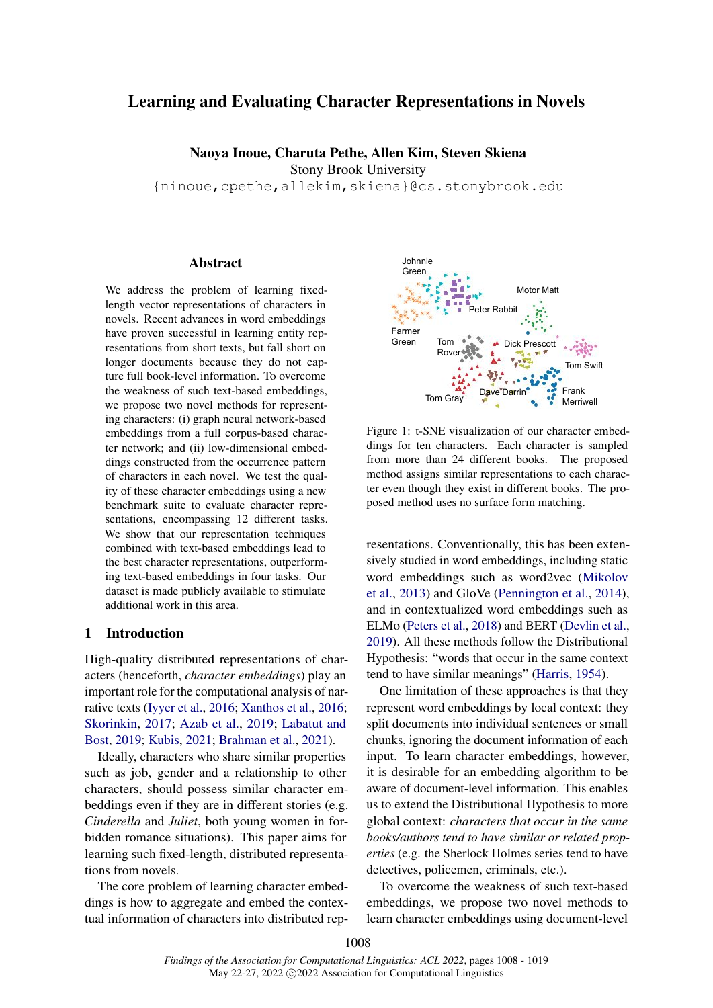# Learning and Evaluating Character Representations in Novels

Naoya Inoue, Charuta Pethe, Allen Kim, Steven Skiena

Stony Brook University

{ninoue,cpethe,allekim,skiena}@cs.stonybrook.edu

#### Abstract

We address the problem of learning fixedlength vector representations of characters in novels. Recent advances in word embeddings have proven successful in learning entity representations from short texts, but fall short on longer documents because they do not capture full book-level information. To overcome the weakness of such text-based embeddings, we propose two novel methods for representing characters: (i) graph neural network-based embeddings from a full corpus-based character network; and (ii) low-dimensional embeddings constructed from the occurrence pattern of characters in each novel. We test the quality of these character embeddings using a new benchmark suite to evaluate character representations, encompassing 12 different tasks. We show that our representation techniques combined with text-based embeddings lead to the best character representations, outperforming text-based embeddings in four tasks. Our dataset is made publicly available to stimulate additional work in this area.

### <span id="page-0-1"></span>1 Introduction

High-quality distributed representations of characters (henceforth, *character embeddings*) play an important role for the computational analysis of narrative texts [\(Iyyer et al.,](#page-9-0) [2016;](#page-9-0) [Xanthos et al.,](#page-11-0) [2016;](#page-11-0) [Skorinkin,](#page-10-0) [2017;](#page-10-0) [Azab et al.,](#page-9-1) [2019;](#page-9-1) [Labatut and](#page-9-2) [Bost,](#page-9-2) [2019;](#page-9-2) [Kubis,](#page-9-3) [2021;](#page-9-3) [Brahman et al.,](#page-9-4) [2021\)](#page-9-4).

Ideally, characters who share similar properties such as job, gender and a relationship to other characters, should possess similar character embeddings even if they are in different stories (e.g. *Cinderella* and *Juliet*, both young women in forbidden romance situations). This paper aims for learning such fixed-length, distributed representations from novels.

The core problem of learning character embeddings is how to aggregate and embed the contextual information of characters into distributed rep-

<span id="page-0-0"></span>

Figure 1: t-SNE visualization of our character embeddings for ten characters. Each character is sampled from more than 24 different books. The proposed method assigns similar representations to each character even though they exist in different books. The proposed method uses no surface form matching.

resentations. Conventionally, this has been extensively studied in word embeddings, including static word embeddings such as word2vec [\(Mikolov](#page-10-1) [et al.,](#page-10-1) [2013\)](#page-10-1) and GloVe [\(Pennington et al.,](#page-10-2) [2014\)](#page-10-2), and in contextualized word embeddings such as ELMo [\(Peters et al.,](#page-10-3) [2018\)](#page-10-3) and BERT [\(Devlin et al.,](#page-9-5) [2019\)](#page-9-5). All these methods follow the Distributional Hypothesis: "words that occur in the same context tend to have similar meanings" [\(Harris,](#page-9-6) [1954\)](#page-9-6).

One limitation of these approaches is that they represent word embeddings by local context: they split documents into individual sentences or small chunks, ignoring the document information of each input. To learn character embeddings, however, it is desirable for an embedding algorithm to be aware of document-level information. This enables us to extend the Distributional Hypothesis to more global context: *characters that occur in the same books/authors tend to have similar or related properties* (e.g. the Sherlock Holmes series tend to have detectives, policemen, criminals, etc.).

To overcome the weakness of such text-based embeddings, we propose two novel methods to learn character embeddings using document-level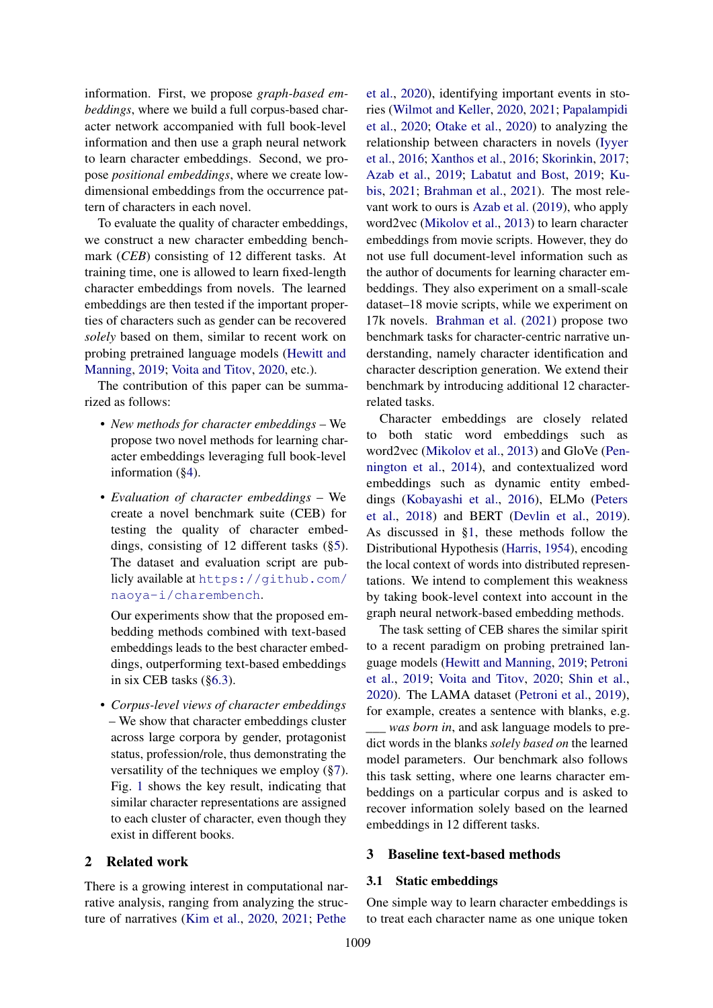information. First, we propose *graph-based embeddings*, where we build a full corpus-based character network accompanied with full book-level information and then use a graph neural network to learn character embeddings. Second, we propose *positional embeddings*, where we create lowdimensional embeddings from the occurrence pattern of characters in each novel.

To evaluate the quality of character embeddings, we construct a new character embedding benchmark (*CEB*) consisting of 12 different tasks. At training time, one is allowed to learn fixed-length character embeddings from novels. The learned embeddings are then tested if the important properties of characters such as gender can be recovered *solely* based on them, similar to recent work on probing pretrained language models [\(Hewitt and](#page-9-7) [Manning,](#page-9-7) [2019;](#page-9-7) [Voita and Titov,](#page-10-4) [2020,](#page-10-4) etc.).

The contribution of this paper can be summarized as follows:

- *New methods for character embeddings* We propose two novel methods for learning character embeddings leveraging full book-level information ([§4\)](#page-2-0).
- *Evaluation of character embeddings* We create a novel benchmark suite (CEB) for testing the quality of character embeddings, consisting of 12 different tasks ([§5\)](#page-4-0). The dataset and evaluation script are publicly available at [https://github.com/](https://github.com/naoya-i/charembench) [naoya-i/charembench](https://github.com/naoya-i/charembench).

Our experiments show that the proposed embedding methods combined with text-based embeddings leads to the best character embeddings, outperforming text-based embeddings in six CEB tasks ([§6.3\)](#page-6-0).

• *Corpus-level views of character embeddings* – We show that character embeddings cluster across large corpora by gender, protagonist status, profession/role, thus demonstrating the versatility of the techniques we employ ([§7\)](#page-6-1). Fig. [1](#page-0-0) shows the key result, indicating that similar character representations are assigned to each cluster of character, even though they exist in different books.

### 2 Related work

There is a growing interest in computational narrative analysis, ranging from analyzing the structure of narratives [\(Kim et al.,](#page-9-8) [2020,](#page-9-8) [2021;](#page-9-9) [Pethe](#page-10-5)

[et al.,](#page-10-5) [2020\)](#page-10-5), identifying important events in stories [\(Wilmot and Keller,](#page-11-1) [2020,](#page-11-1) [2021;](#page-11-2) [Papalampidi](#page-10-6) [et al.,](#page-10-6) [2020;](#page-10-6) [Otake et al.,](#page-10-7) [2020\)](#page-10-7) to analyzing the relationship between characters in novels [\(Iyyer](#page-9-0) [et al.,](#page-9-0) [2016;](#page-9-0) [Xanthos et al.,](#page-11-0) [2016;](#page-11-0) [Skorinkin,](#page-10-0) [2017;](#page-10-0) [Azab et al.,](#page-9-1) [2019;](#page-9-1) [Labatut and Bost,](#page-9-2) [2019;](#page-9-2) [Ku](#page-9-3)[bis,](#page-9-3) [2021;](#page-9-3) [Brahman et al.,](#page-9-4) [2021\)](#page-9-4). The most relevant work to ours is [Azab et al.](#page-9-1) [\(2019\)](#page-9-1), who apply word2vec [\(Mikolov et al.,](#page-10-1) [2013\)](#page-10-1) to learn character embeddings from movie scripts. However, they do not use full document-level information such as the author of documents for learning character embeddings. They also experiment on a small-scale dataset–18 movie scripts, while we experiment on 17k novels. [Brahman et al.](#page-9-4) [\(2021\)](#page-9-4) propose two benchmark tasks for character-centric narrative understanding, namely character identification and character description generation. We extend their benchmark by introducing additional 12 characterrelated tasks.

Character embeddings are closely related to both static word embeddings such as word2vec [\(Mikolov et al.,](#page-10-1) [2013\)](#page-10-1) and GloVe [\(Pen](#page-10-2)[nington et al.,](#page-10-2) [2014\)](#page-10-2), and contextualized word embeddings such as dynamic entity embeddings [\(Kobayashi et al.,](#page-9-10) [2016\)](#page-9-10), ELMo [\(Peters](#page-10-3) [et al.,](#page-10-3) [2018\)](#page-10-3) and BERT [\(Devlin et al.,](#page-9-5) [2019\)](#page-9-5). As discussed in [§1,](#page-0-1) these methods follow the Distributional Hypothesis [\(Harris,](#page-9-6) [1954\)](#page-9-6), encoding the local context of words into distributed representations. We intend to complement this weakness by taking book-level context into account in the graph neural network-based embedding methods.

The task setting of CEB shares the similar spirit to a recent paradigm on probing pretrained language models [\(Hewitt and Manning,](#page-9-7) [2019;](#page-9-7) [Petroni](#page-10-8) [et al.,](#page-10-8) [2019;](#page-10-8) [Voita and Titov,](#page-10-4) [2020;](#page-10-4) [Shin et al.,](#page-10-9) [2020\)](#page-10-9). The LAMA dataset [\(Petroni et al.,](#page-10-8) [2019\)](#page-10-8), for example, creates a sentence with blanks, e.g. *\_\_\_ was born in*, and ask language models to predict words in the blanks *solely based on* the learned model parameters. Our benchmark also follows this task setting, where one learns character embeddings on a particular corpus and is asked to recover information solely based on the learned embeddings in 12 different tasks.

#### <span id="page-1-1"></span>3 Baseline text-based methods

#### <span id="page-1-0"></span>3.1 Static embeddings

One simple way to learn character embeddings is to treat each character name as one unique token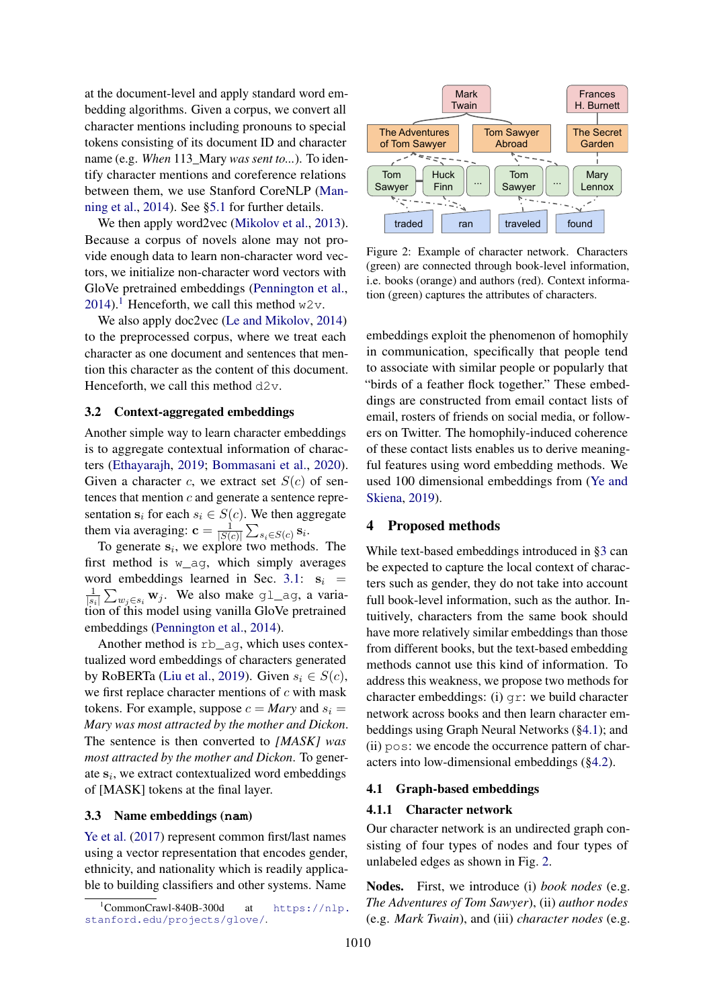at the document-level and apply standard word embedding algorithms. Given a corpus, we convert all character mentions including pronouns to special tokens consisting of its document ID and character name (e.g. *When* 113\_Mary *was sent to...*). To identify character mentions and coreference relations between them, we use Stanford CoreNLP [\(Man](#page-10-10)[ning et al.,](#page-10-10)  $2014$ ). See [§5.1](#page-4-1) for further details.

We then apply word2vec [\(Mikolov et al.,](#page-10-1) [2013\)](#page-10-1). Because a corpus of novels alone may not provide enough data to learn non-character word vectors, we initialize non-character word vectors with GloVe pretrained embeddings [\(Pennington et al.,](#page-10-2) [2014\)](#page-10-2).<sup>[1](#page-2-1)</sup> Henceforth, we call this method  $w2v$ .

We also apply doc2vec [\(Le and Mikolov,](#page-10-11) [2014\)](#page-10-11) to the preprocessed corpus, where we treat each character as one document and sentences that mention this character as the content of this document. Henceforth, we call this method  $d2v$ .

#### 3.2 Context-aggregated embeddings

Another simple way to learn character embeddings is to aggregate contextual information of characters [\(Ethayarajh,](#page-9-11) [2019;](#page-9-11) [Bommasani et al.,](#page-9-12) [2020\)](#page-9-12). Given a character c, we extract set  $S(c)$  of sentences that mention  $c$  and generate a sentence representation  $s_i$  for each  $s_i \in S(c)$ . We then aggregate them via averaging:  $\mathbf{c} = \frac{1}{|S|}$  $\frac{1}{|S(c)|} \sum_{s_i \in S(c)} \mathbf{s}_i.$ 

To generate  $s_i$ , we explore two methods. The first method is  $w \text{ aq}$ , which simply averages word embeddings learned in Sec. [3.1:](#page-1-0)  $s_i$  = 1  $\frac{1}{|s_i|} \sum_{w_j \in s_i} w_j$ . We also make gl\_ag, a variation of this model using vanilla GloVe pretrained embeddings [\(Pennington et al.,](#page-10-2) [2014\)](#page-10-2).

Another method is rb\_ag, which uses contextualized word embeddings of characters generated by RoBERTa [\(Liu et al.,](#page-10-12) [2019\)](#page-10-12). Given  $s_i \in S(c)$ , we first replace character mentions of  $c$  with mask tokens. For example, suppose  $c = Mary$  and  $s_i =$ *Mary was most attracted by the mother and Dickon*. The sentence is then converted to *[MASK] was most attracted by the mother and Dickon*. To generate  $s_i$ , we extract contextualized word embeddings of [MASK] tokens at the final layer.

#### 3.3 Name embeddings (**nam**)

[Ye et al.](#page-11-3) [\(2017\)](#page-11-3) represent common first/last names using a vector representation that encodes gender, ethnicity, and nationality which is readily applicable to building classifiers and other systems. Name

<span id="page-2-3"></span>

Figure 2: Example of character network. Characters (green) are connected through book-level information, i.e. books (orange) and authors (red). Context information (green) captures the attributes of characters.

embeddings exploit the phenomenon of homophily in communication, specifically that people tend to associate with similar people or popularly that "birds of a feather flock together." These embeddings are constructed from email contact lists of email, rosters of friends on social media, or followers on Twitter. The homophily-induced coherence of these contact lists enables us to derive meaningful features using word embedding methods. We used 100 dimensional embeddings from [\(Ye and](#page-11-4) [Skiena,](#page-11-4) [2019\)](#page-11-4).

### <span id="page-2-0"></span>4 Proposed methods

While text-based embeddings introduced in [§3](#page-1-1) can be expected to capture the local context of characters such as gender, they do not take into account full book-level information, such as the author. Intuitively, characters from the same book should have more relatively similar embeddings than those from different books, but the text-based embedding methods cannot use this kind of information. To address this weakness, we propose two methods for character embeddings: (i) gr: we build character network across books and then learn character embeddings using Graph Neural Networks ([§4.1\)](#page-2-2); and (ii) pos: we encode the occurrence pattern of characters into low-dimensional embeddings ([§4.2\)](#page-3-0).

#### <span id="page-2-2"></span>4.1 Graph-based embeddings

#### 4.1.1 Character network

Our character network is an undirected graph consisting of four types of nodes and four types of unlabeled edges as shown in Fig. [2.](#page-2-3)

Nodes. First, we introduce (i) *book nodes* (e.g. *The Adventures of Tom Sawyer*), (ii) *author nodes* (e.g. *Mark Twain*), and (iii) *character nodes* (e.g.

<span id="page-2-1"></span> $1$ CommonCrawl-840B-300d at [https://nlp.](https://nlp.stanford.edu/projects/glove/) [stanford.edu/projects/glove/](https://nlp.stanford.edu/projects/glove/).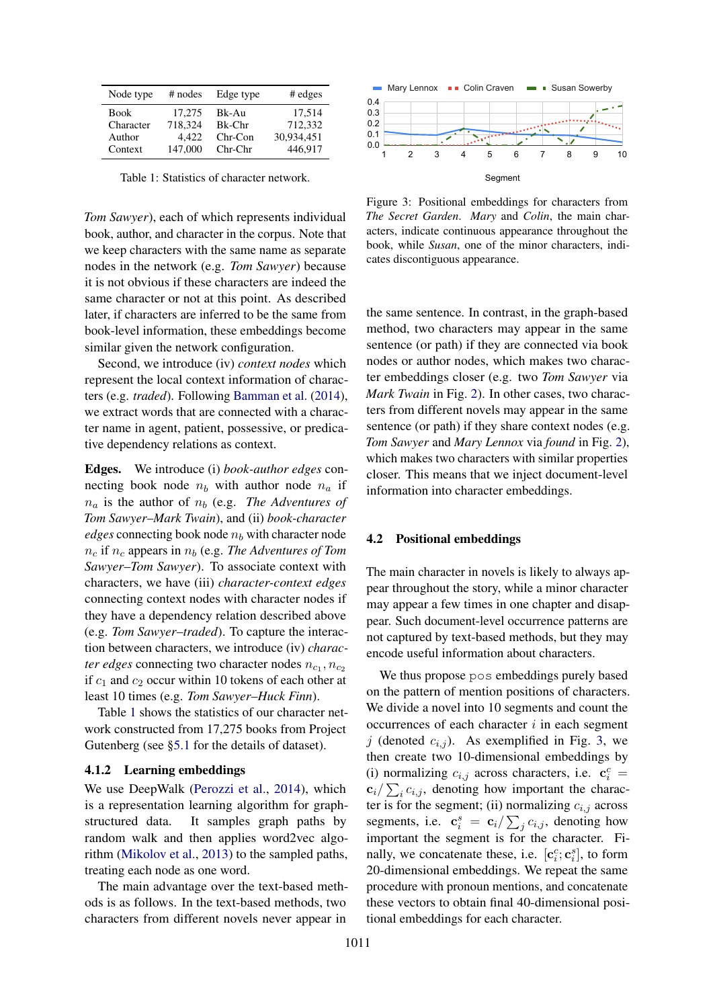<span id="page-3-1"></span>

| Node type | $#$ nodes | Edge type | $#$ edges  |
|-----------|-----------|-----------|------------|
| Book      | 17.275    | Bk-Au     | 17,514     |
| Character | 718,324   | Bk-Chr    | 712,332    |
| Author    | 4.422     | $Chr-Con$ | 30.934.451 |
| Context   | 147,000   | $Chr-Chr$ | 446.917    |

Table 1: Statistics of character network.

*Tom Sawyer*), each of which represents individual book, author, and character in the corpus. Note that we keep characters with the same name as separate nodes in the network (e.g. *Tom Sawyer*) because it is not obvious if these characters are indeed the same character or not at this point. As described later, if characters are inferred to be the same from book-level information, these embeddings become similar given the network configuration.

Second, we introduce (iv) *context nodes* which represent the local context information of characters (e.g. *traded*). Following [Bamman et al.](#page-9-13) [\(2014\)](#page-9-13), we extract words that are connected with a character name in agent, patient, possessive, or predicative dependency relations as context.

Edges. We introduce (i) *book-author edges* connecting book node  $n_b$  with author node  $n_a$  if  $n_a$  is the author of  $n_b$  (e.g. *The Adventures of Tom Sawyer*–*Mark Twain*), and (ii) *book-character edges* connecting book node  $n_b$  with character node  $n_c$  if  $n_c$  appears in  $n_b$  (e.g. *The Adventures of Tom Sawyer*–*Tom Sawyer*). To associate context with characters, we have (iii) *character-context edges* connecting context nodes with character nodes if they have a dependency relation described above (e.g. *Tom Sawyer*–*traded*). To capture the interaction between characters, we introduce (iv) *character edges* connecting two character nodes  $n_{c_1}, n_{c_2}$ if  $c_1$  and  $c_2$  occur within 10 tokens of each other at least 10 times (e.g. *Tom Sawyer*–*Huck Finn*).

Table [1](#page-3-1) shows the statistics of our character network constructed from 17,275 books from Project Gutenberg (see [§5.1](#page-4-1) for the details of dataset).

#### 4.1.2 Learning embeddings

We use DeepWalk [\(Perozzi et al.,](#page-10-13) [2014\)](#page-10-13), which is a representation learning algorithm for graphstructured data. It samples graph paths by random walk and then applies word2vec algorithm [\(Mikolov et al.,](#page-10-1) [2013\)](#page-10-1) to the sampled paths, treating each node as one word.

The main advantage over the text-based methods is as follows. In the text-based methods, two characters from different novels never appear in

<span id="page-3-2"></span>

Figure 3: Positional embeddings for characters from *The Secret Garden*. *Mary* and *Colin*, the main characters, indicate continuous appearance throughout the book, while *Susan*, one of the minor characters, indicates discontiguous appearance.

the same sentence. In contrast, in the graph-based method, two characters may appear in the same sentence (or path) if they are connected via book nodes or author nodes, which makes two character embeddings closer (e.g. two *Tom Sawyer* via *Mark Twain* in Fig. [2\)](#page-2-3). In other cases, two characters from different novels may appear in the same sentence (or path) if they share context nodes (e.g. *Tom Sawyer* and *Mary Lennox* via *found* in Fig. [2\)](#page-2-3), which makes two characters with similar properties closer. This means that we inject document-level information into character embeddings.

#### <span id="page-3-0"></span>4.2 Positional embeddings

The main character in novels is likely to always appear throughout the story, while a minor character may appear a few times in one chapter and disappear. Such document-level occurrence patterns are not captured by text-based methods, but they may encode useful information about characters.

We thus propose pos embeddings purely based on the pattern of mention positions of characters. We divide a novel into 10 segments and count the occurrences of each character  $i$  in each segment j (denoted  $c_{i,j}$ ). As exemplified in Fig. [3,](#page-3-2) we then create two 10-dimensional embeddings by (i) normalizing  $c_{i,j}$  across characters, i.e.  $\mathbf{c}_i^c$  =  $c_i/\sum_i c_{i,j}$ , denoting how important the character is for the segment; (ii) normalizing  $c_{i,j}$  across segments, i.e.  $\mathbf{c}_i^s = \mathbf{c}_i / \sum_j c_{i,j}$ , denoting how important the segment is for the character. Finally, we concatenate these, i.e.  $[c_i^c; c_i^s]$ , to form 20-dimensional embeddings. We repeat the same procedure with pronoun mentions, and concatenate these vectors to obtain final 40-dimensional positional embeddings for each character.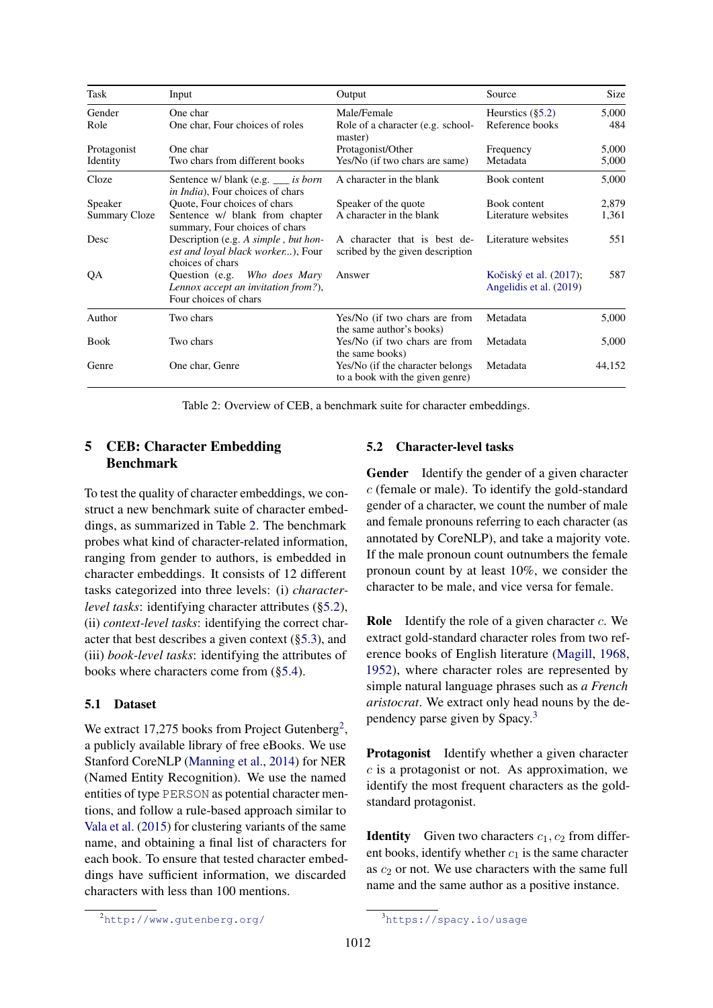<span id="page-4-3"></span>

| Task          | Input                                                                                         | Output                                                               | Source                                            | Size   |
|---------------|-----------------------------------------------------------------------------------------------|----------------------------------------------------------------------|---------------------------------------------------|--------|
| Gender        | One char                                                                                      | Male/Female                                                          | Heurstics $(\S5.2)$                               | 5,000  |
| Role          | One char, Four choices of roles                                                               | Role of a character (e.g. school-<br>master)                         | Reference books                                   | 484    |
| Protagonist   | One char                                                                                      | Protagonist/Other                                                    | Frequency                                         | 5,000  |
| Identity      | Two chars from different books                                                                | Yes/No (if two chars are same)                                       | Metadata                                          | 5,000  |
| Cloze         | Sentence w/ blank (e.g. __ is born<br>in India), Four choices of chars                        | A character in the blank                                             | Book content                                      | 5,000  |
| Speaker       | Quote, Four choices of chars                                                                  | Speaker of the quote                                                 | Book content                                      | 2,879  |
| Summary Cloze | Sentence w/ blank from chapter<br>summary, Four choices of chars                              | A character in the blank                                             | Literature websites                               | 1,361  |
| Desc          | Description (e.g. A simple, but hon-<br>est and loyal black worker), Four<br>choices of chars | A character that is best de-<br>scribed by the given description     | Literature websites                               | 551    |
| QA            | Question (e.g. Who does Mary<br>Lennox accept an invitation from?),<br>Four choices of chars  | Answer                                                               | Kočiský et al. (2017);<br>Angelidis et al. (2019) | 587    |
| Author        | Two chars                                                                                     | Yes/No (if two chars are from<br>the same author's books)            | Metadata                                          | 5,000  |
| <b>Book</b>   | Two chars                                                                                     | Yes/No (if two chars are from<br>the same books)                     | Metadata                                          | 5,000  |
| Genre         | One char, Genre                                                                               | Yes/No (if the character belongs)<br>to a book with the given genre) | Metadata                                          | 44,152 |

Table 2: Overview of CEB, a benchmark suite for character embeddings.

# <span id="page-4-0"></span>5 CEB: Character Embedding Benchmark

To test the quality of character embeddings, we construct a new benchmark suite of character embeddings, as summarized in Table [2.](#page-4-3) The benchmark probes what kind of character-related information, ranging from gender to authors, is embedded in character embeddings. It consists of 12 different tasks categorized into three levels: (i) *characterlevel tasks*: identifying character attributes ([§5.2\)](#page-4-2), (ii) *context-level tasks*: identifying the correct character that best describes a given context ([§5.3\)](#page-5-0), and (iii) *book-level tasks*: identifying the attributes of books where characters come from ([§5.4\)](#page-5-1).

### <span id="page-4-1"></span>5.1 Dataset

We extract 17,[2](#page-4-4)75 books from Project Gutenberg<sup>2</sup>, a publicly available library of free eBooks. We use Stanford CoreNLP [\(Manning et al.,](#page-10-10) [2014\)](#page-10-10) for NER (Named Entity Recognition). We use the named entities of type PERSON as potential character mentions, and follow a rule-based approach similar to [Vala et al.](#page-10-14) [\(2015\)](#page-10-14) for clustering variants of the same name, and obtaining a final list of characters for each book. To ensure that tested character embeddings have sufficient information, we discarded characters with less than 100 mentions.

### <span id="page-4-2"></span>5.2 Character-level tasks

Gender Identify the gender of a given character c (female or male). To identify the gold-standard gender of a character, we count the number of male and female pronouns referring to each character (as annotated by CoreNLP), and take a majority vote. If the male pronoun count outnumbers the female pronoun count by at least 10%, we consider the character to be male, and vice versa for female.

**Role** Identify the role of a given character  $c$ . We extract gold-standard character roles from two reference books of English literature [\(Magill,](#page-10-15) [1968,](#page-10-15) [1952\)](#page-10-16), where character roles are represented by simple natural language phrases such as *a French aristocrat*. We extract only head nouns by the dependency parse given by Spacy.[3](#page-4-5)

Protagonist Identify whether a given character  $c$  is a protagonist or not. As approximation, we identify the most frequent characters as the goldstandard protagonist.

**Identity** Given two characters  $c_1$ ,  $c_2$  from different books, identify whether  $c_1$  is the same character as  $c_2$  or not. We use characters with the same full name and the same author as a positive instance.

<span id="page-4-4"></span><sup>2</sup><http://www.gutenberg.org/>

<span id="page-4-5"></span><sup>3</sup><https://spacy.io/usage>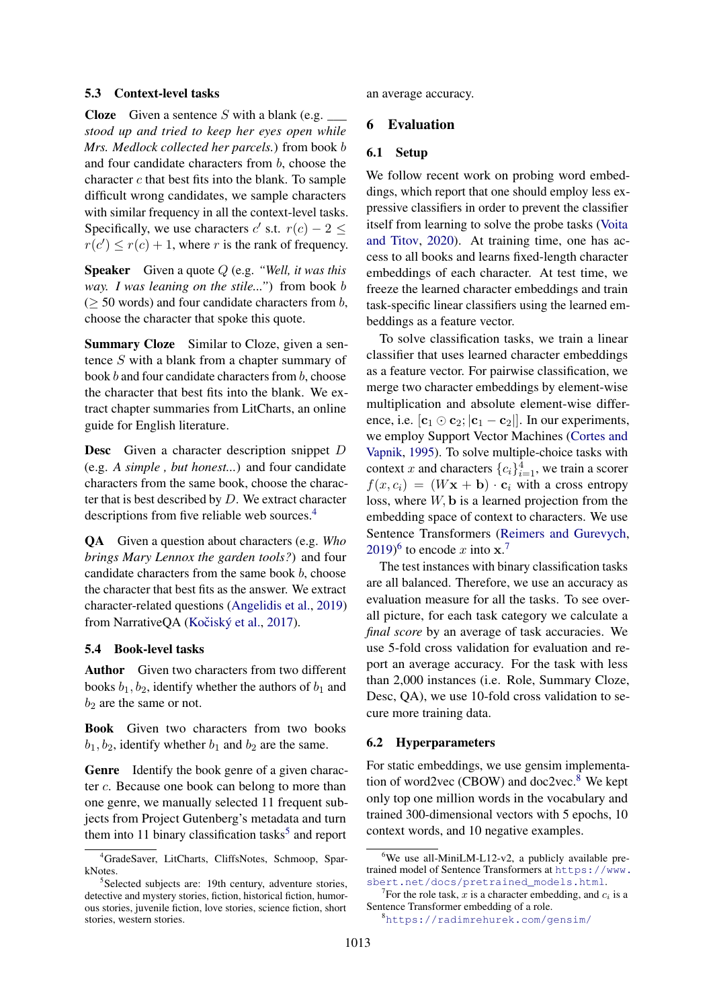#### <span id="page-5-0"></span>5.3 Context-level tasks

Cloze Given a sentence S with a blank (e.g. *\_\_\_ stood up and tried to keep her eyes open while Mrs. Medlock collected her parcels.*) from book b and four candidate characters from b, choose the character c that best fits into the blank. To sample difficult wrong candidates, we sample characters with similar frequency in all the context-level tasks. Specifically, we use characters  $c'$  s.t.  $r(c) - 2 \leq$  $r(c') \leq r(c) + 1$ , where r is the rank of frequency.

Speaker Given a quote Q (e.g. *"Well, it was this way. I was leaning on the stile..."*) from book b  $($  > 50 words) and four candidate characters from b, choose the character that spoke this quote.

Summary Cloze Similar to Cloze, given a sentence S with a blank from a chapter summary of book b and four candidate characters from b, choose the character that best fits into the blank. We extract chapter summaries from LitCharts, an online guide for English literature.

Desc Given a character description snippet D (e.g. *A simple , but honest...*) and four candidate characters from the same book, choose the character that is best described by  $D$ . We extract character descriptions from five reliable web sources.[4](#page-5-2)

QA Given a question about characters (e.g. *Who brings Mary Lennox the garden tools?*) and four candidate characters from the same book  $b$ , choose the character that best fits as the answer. We extract character-related questions [\(Angelidis et al.,](#page-9-15) [2019\)](#page-9-15) from NarrativeQA (Kočiský et al., [2017\)](#page-9-14).

### <span id="page-5-1"></span>5.4 Book-level tasks

Author Given two characters from two different books  $b_1$ ,  $b_2$ , identify whether the authors of  $b_1$  and  $b_2$  are the same or not.

Book Given two characters from two books  $b_1, b_2$ , identify whether  $b_1$  and  $b_2$  are the same.

Genre Identify the book genre of a given character c. Because one book can belong to more than one genre, we manually selected 11 frequent subjects from Project Gutenberg's metadata and turn them into 11 binary classification tasks<sup>[5](#page-5-3)</sup> and report

an average accuracy.

## 6 Evaluation

#### 6.1 Setup

We follow recent work on probing word embeddings, which report that one should employ less expressive classifiers in order to prevent the classifier itself from learning to solve the probe tasks [\(Voita](#page-10-4) [and Titov,](#page-10-4) [2020\)](#page-10-4). At training time, one has access to all books and learns fixed-length character embeddings of each character. At test time, we freeze the learned character embeddings and train task-specific linear classifiers using the learned embeddings as a feature vector.

To solve classification tasks, we train a linear classifier that uses learned character embeddings as a feature vector. For pairwise classification, we merge two character embeddings by element-wise multiplication and absolute element-wise difference, i.e.  $[\mathbf{c}_1 \odot \mathbf{c}_2; |\mathbf{c}_1 - \mathbf{c}_2|]$ . In our experiments, we employ Support Vector Machines [\(Cortes and](#page-9-16) [Vapnik,](#page-9-16) [1995\)](#page-9-16). To solve multiple-choice tasks with context x and characters  ${c_i}_{i=1}^4$ , we train a scorer  $f(x, c_i) = (W\mathbf{x} + \mathbf{b}) \cdot \mathbf{c}_i$  with a cross entropy loss, where  $W$ ,  $\bf{b}$  is a learned projection from the embedding space of context to characters. We use Sentence Transformers [\(Reimers and Gurevych,](#page-10-17) [2019\)](#page-10-17)<sup>[6](#page-5-4)</sup> to encode x into  $x$ .<sup>[7](#page-5-5)</sup>

The test instances with binary classification tasks are all balanced. Therefore, we use an accuracy as evaluation measure for all the tasks. To see overall picture, for each task category we calculate a *final score* by an average of task accuracies. We use 5-fold cross validation for evaluation and report an average accuracy. For the task with less than 2,000 instances (i.e. Role, Summary Cloze, Desc, QA), we use 10-fold cross validation to secure more training data.

#### 6.2 Hyperparameters

For static embeddings, we use gensim implementation of word2vec (CBOW) and doc2vec. $8$  We kept only top one million words in the vocabulary and trained 300-dimensional vectors with 5 epochs, 10 context words, and 10 negative examples.

<span id="page-5-2"></span><sup>4</sup>GradeSaver, LitCharts, CliffsNotes, Schmoop, SparkNotes.

<span id="page-5-3"></span><sup>&</sup>lt;sup>5</sup>Selected subjects are: 19th century, adventure stories, detective and mystery stories, fiction, historical fiction, humorous stories, juvenile fiction, love stories, science fiction, short stories, western stories.

<span id="page-5-4"></span> $6$ We use all-MiniLM-L12-v2, a publicly available pretrained model of Sentence Transformers at [https://www.](https://www.sbert.net/docs/pretrained_models.html) [sbert.net/docs/pretrained\\_models.html](https://www.sbert.net/docs/pretrained_models.html).

<span id="page-5-5"></span><sup>&</sup>lt;sup>7</sup>For the role task, x is a character embedding, and  $c_i$  is a Sentence Transformer embedding of a role.

<span id="page-5-6"></span><sup>8</sup><https://radimrehurek.com/gensim/>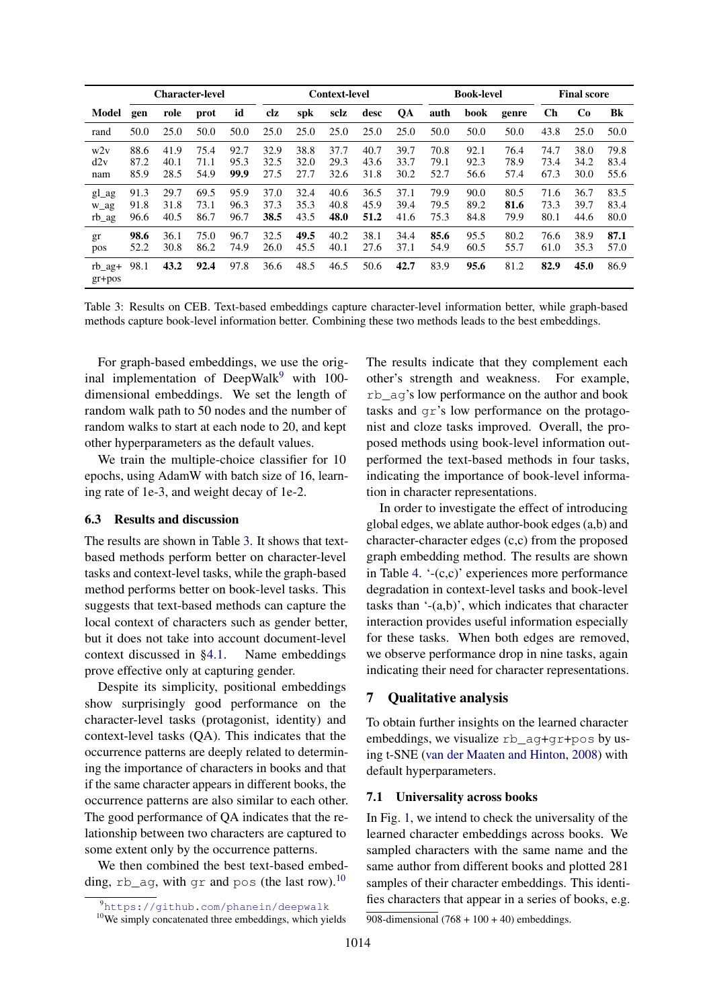<span id="page-6-3"></span>

|                          | <b>Character-level</b> |                      |                      |                      | <b>Context-level</b> |                      |                      |                      | <b>Book-level</b>    |                      |                      | <b>Final score</b>   |                      |                      |                      |
|--------------------------|------------------------|----------------------|----------------------|----------------------|----------------------|----------------------|----------------------|----------------------|----------------------|----------------------|----------------------|----------------------|----------------------|----------------------|----------------------|
| Model                    | gen                    | role                 | prot                 | id                   | clz                  | spk                  | sclz                 | desc                 | QA                   | auth                 | book                 | genre                | <b>Ch</b>            | <b>Co</b>            | Bk                   |
| rand                     | 50.0                   | 25.0                 | 50.0                 | 50.0                 | 25.0                 | 25.0                 | 25.0                 | 25.0                 | 25.0                 | 50.0                 | 50.0                 | 50.0                 | 43.8                 | 25.0                 | 50.0                 |
| w2v<br>d2v<br>nam        | 88.6<br>87.2<br>85.9   | 41.9<br>40.1<br>28.5 | 75.4<br>71.1<br>54.9 | 92.7<br>95.3<br>99.9 | 32.9<br>32.5<br>27.5 | 38.8<br>32.0<br>27.7 | 37.7<br>29.3<br>32.6 | 40.7<br>43.6<br>31.8 | 39.7<br>33.7<br>30.2 | 70.8<br>79.1<br>52.7 | 92.1<br>92.3<br>56.6 | 76.4<br>78.9<br>57.4 | 74.7<br>73.4<br>67.3 | 38.0<br>34.2<br>30.0 | 79.8<br>83.4<br>55.6 |
| gl_ag<br>w_ag<br>rb_ag   | 91.3<br>91.8<br>96.6   | 29.7<br>31.8<br>40.5 | 69.5<br>73.1<br>86.7 | 95.9<br>96.3<br>96.7 | 37.0<br>37.3<br>38.5 | 32.4<br>35.3<br>43.5 | 40.6<br>40.8<br>48.0 | 36.5<br>45.9<br>51.2 | 37.1<br>39.4<br>41.6 | 79.9<br>79.5<br>75.3 | 90.0<br>89.2<br>84.8 | 80.5<br>81.6<br>79.9 | 71.6<br>73.3<br>80.1 | 36.7<br>39.7<br>44.6 | 83.5<br>83.4<br>80.0 |
| gr<br>pos                | 98.6<br>52.2           | 36.1<br>30.8         | 75.0<br>86.2         | 96.7<br>74.9         | 32.5<br>26.0         | 49.5<br>45.5         | 40.2<br>40.1         | 38.1<br>27.6         | 34.4<br>37.1         | 85.6<br>54.9         | 95.5<br>60.5         | 80.2<br>55.7         | 76.6<br>61.0         | 38.9<br>35.3         | 87.1<br>57.0         |
| $rb$ $aq+$<br>$gr + pos$ | 98.1                   | 43.2                 | 92.4                 | 97.8                 | 36.6                 | 48.5                 | 46.5                 | 50.6                 | 42.7                 | 83.9                 | 95.6                 | 81.2                 | 82.9                 | 45.0                 | 86.9                 |

Table 3: Results on CEB. Text-based embeddings capture character-level information better, while graph-based methods capture book-level information better. Combining these two methods leads to the best embeddings.

For graph-based embeddings, we use the original implementation of DeepWalk $9$  with 100dimensional embeddings. We set the length of random walk path to 50 nodes and the number of random walks to start at each node to 20, and kept other hyperparameters as the default values.

We train the multiple-choice classifier for 10 epochs, using AdamW with batch size of 16, learning rate of 1e-3, and weight decay of 1e-2.

### <span id="page-6-0"></span>6.3 Results and discussion

The results are shown in Table [3.](#page-6-3) It shows that textbased methods perform better on character-level tasks and context-level tasks, while the graph-based method performs better on book-level tasks. This suggests that text-based methods can capture the local context of characters such as gender better, but it does not take into account document-level context discussed in [§4.1.](#page-2-2) Name embeddings prove effective only at capturing gender.

Despite its simplicity, positional embeddings show surprisingly good performance on the character-level tasks (protagonist, identity) and context-level tasks (QA). This indicates that the occurrence patterns are deeply related to determining the importance of characters in books and that if the same character appears in different books, the occurrence patterns are also similar to each other. The good performance of QA indicates that the relationship between two characters are captured to some extent only by the occurrence patterns.

We then combined the best text-based embedding,  $rb \_\text{ag}$ , with  $qr$  and  $pos$  (the last row).<sup>[10](#page-6-4)</sup>

The results indicate that they complement each other's strength and weakness. For example, rb\_ag's low performance on the author and book tasks and gr's low performance on the protagonist and cloze tasks improved. Overall, the proposed methods using book-level information outperformed the text-based methods in four tasks, indicating the importance of book-level information in character representations.

In order to investigate the effect of introducing global edges, we ablate author-book edges (a,b) and character-character edges (c,c) from the proposed graph embedding method. The results are shown in Table [4.](#page-7-0) '-(c,c)' experiences more performance degradation in context-level tasks and book-level tasks than '-(a,b)', which indicates that character interaction provides useful information especially for these tasks. When both edges are removed, we observe performance drop in nine tasks, again indicating their need for character representations.

# <span id="page-6-1"></span>7 Qualitative analysis

To obtain further insights on the learned character embeddings, we visualize rb\_ag+gr+pos by using t-SNE [\(van der Maaten and Hinton,](#page-10-18) [2008\)](#page-10-18) with default hyperparameters.

### 7.1 Universality across books

In Fig. [1,](#page-0-0) we intend to check the universality of the learned character embeddings across books. We sampled characters with the same name and the same author from different books and plotted 281 samples of their character embeddings. This identifies characters that appear in a series of books, e.g.

<span id="page-6-2"></span><sup>9</sup><https://github.com/phanein/deepwalk>

<span id="page-6-4"></span><sup>&</sup>lt;sup>10</sup>We simply concatenated three embeddings, which yields

<sup>908-</sup>dimensional  $(768 + 100 + 40)$  embeddings.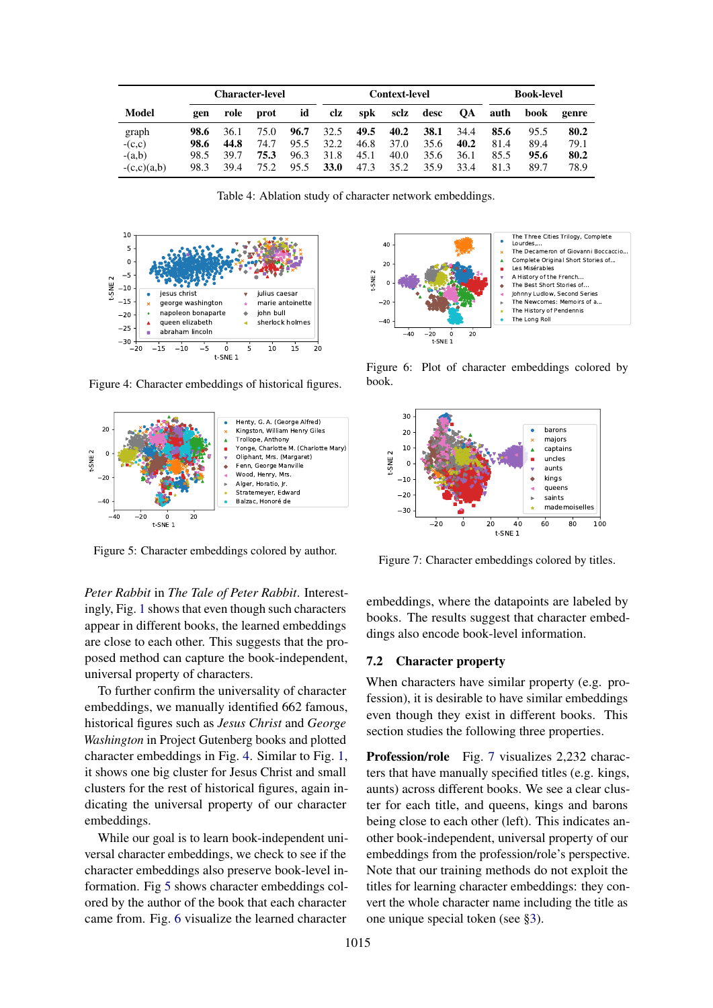<span id="page-7-0"></span>

|               | <b>Character-level</b> |      |       |      | Context-level |            |      |      | <b>Book-level</b> |      |      |       |
|---------------|------------------------|------|-------|------|---------------|------------|------|------|-------------------|------|------|-------|
| Model         | gen                    | role | prot  | id   | clz           | <b>spk</b> | sclz | desc | <b>OA</b>         | auth | book | genre |
| graph         | 98.6                   | 36.1 | 75.0  | 96.7 | 32.5          | 49.5       | 40.2 | 38.1 | 34.4              | 85.6 | 95.5 | 80.2  |
| $-(c,c)$      | 98.6                   | 44.8 | 74.7  | 95.5 | 32.2          | 46.8       | 37.0 | 35.6 | 40.2              | 81.4 | 89.4 | 79.1  |
| $-(a,b)$      | 98.5                   | 39.7 | 75.3  | 96.3 | 31.8          | 45.1       | 40.0 | 35.6 | 36.1              | 85.5 | 95.6 | 80.2  |
| $-(c,c)(a,b)$ | 98.3                   | 39.4 | 75 2. | 95.5 | <b>33.0</b>   | 47.3       | 35.2 | 35.9 | 33.4              | 81.3 | 89.7 | 78.9  |

| Table 4: Ablation study of character network embeddings. |  |  |
|----------------------------------------------------------|--|--|
|                                                          |  |  |

<span id="page-7-1"></span>

Figure 4: Character embeddings of historical figures.

<span id="page-7-2"></span>

Figure 5: Character embeddings colored by author.

*Peter Rabbit* in *The Tale of Peter Rabbit*. Interestingly, Fig. [1](#page-0-0) shows that even though such characters appear in different books, the learned embeddings are close to each other. This suggests that the proposed method can capture the book-independent, universal property of characters.

To further confirm the universality of character embeddings, we manually identified 662 famous, historical figures such as *Jesus Christ* and *George Washington* in Project Gutenberg books and plotted character embeddings in Fig. [4.](#page-7-1) Similar to Fig. [1,](#page-0-0) it shows one big cluster for Jesus Christ and small clusters for the rest of historical figures, again indicating the universal property of our character embeddings.

While our goal is to learn book-independent universal character embeddings, we check to see if the character embeddings also preserve book-level information. Fig [5](#page-7-2) shows character embeddings colored by the author of the book that each character came from. Fig. [6](#page-7-3) visualize the learned character

<span id="page-7-3"></span>

Figure 6: Plot of character embeddings colored by book.

<span id="page-7-4"></span>

Figure 7: Character embeddings colored by titles.

embeddings, where the datapoints are labeled by books. The results suggest that character embeddings also encode book-level information.

# 7.2 Character property

When characters have similar property (e.g. profession), it is desirable to have similar embeddings even though they exist in different books. This section studies the following three properties.

Profession/role Fig. [7](#page-7-4) visualizes 2,232 characters that have manually specified titles (e.g. kings, aunts) across different books. We see a clear cluster for each title, and queens, kings and barons being close to each other (left). This indicates another book-independent, universal property of our embeddings from the profession/role's perspective. Note that our training methods do not exploit the titles for learning character embeddings: they convert the whole character name including the title as one unique special token (see [§3\)](#page-1-1).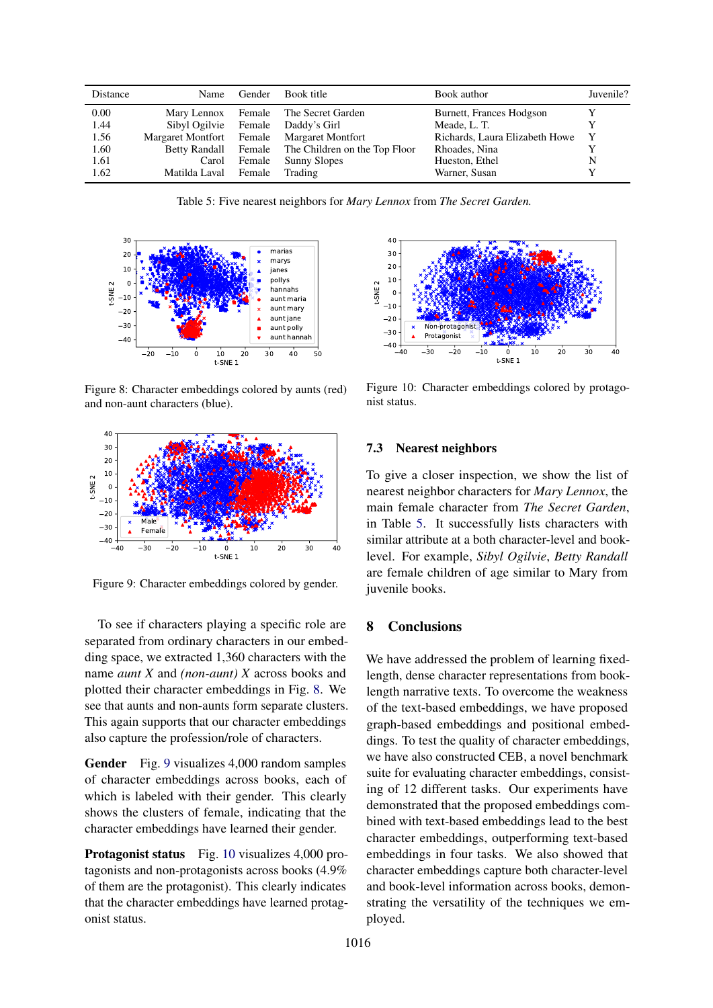<span id="page-8-3"></span>

| Distance | Name                 | Gender | Book title                                         | Book author                    | Juvenile? |
|----------|----------------------|--------|----------------------------------------------------|--------------------------------|-----------|
| 0.00     | Mary Lennox Female   |        | The Secret Garden                                  | Burnett, Frances Hodgson       |           |
| 1.44     | Sibyl Ogilvie Female |        | Daddy's Girl                                       | Meade, L. T.                   |           |
| 1.56     |                      |        | Margaret Montfort Female Margaret Montfort         | Richards, Laura Elizabeth Howe | Y         |
| 1.60     |                      |        | Betty Randall Female The Children on the Top Floor | Rhoades, Nina                  |           |
| 1.61     | Carol                | Female | Sunny Slopes                                       | Hueston, Ethel                 | N         |
| 1.62     | Matilda Laval Female |        | Trading                                            | Warner, Susan                  |           |

Table 5: Five nearest neighbors for *Mary Lennox* from *The Secret Garden.*

<span id="page-8-0"></span>

Figure 8: Character embeddings colored by aunts (red) and non-aunt characters (blue).

<span id="page-8-1"></span>

Figure 9: Character embeddings colored by gender.

To see if characters playing a specific role are separated from ordinary characters in our embedding space, we extracted 1,360 characters with the name *aunt X* and *(non-aunt) X* across books and plotted their character embeddings in Fig. [8.](#page-8-0) We see that aunts and non-aunts form separate clusters. This again supports that our character embeddings also capture the profession/role of characters.

Gender Fig. [9](#page-8-1) visualizes 4,000 random samples of character embeddings across books, each of which is labeled with their gender. This clearly shows the clusters of female, indicating that the character embeddings have learned their gender.

Protagonist status Fig. [10](#page-8-2) visualizes 4,000 protagonists and non-protagonists across books (4.9% of them are the protagonist). This clearly indicates that the character embeddings have learned protagonist status.

<span id="page-8-2"></span>

Figure 10: Character embeddings colored by protagonist status.

### 7.3 Nearest neighbors

To give a closer inspection, we show the list of nearest neighbor characters for *Mary Lennox*, the main female character from *The Secret Garden*, in Table [5.](#page-8-3) It successfully lists characters with similar attribute at a both character-level and booklevel. For example, *Sibyl Ogilvie*, *Betty Randall* are female children of age similar to Mary from juvenile books.

# 8 Conclusions

We have addressed the problem of learning fixedlength, dense character representations from booklength narrative texts. To overcome the weakness of the text-based embeddings, we have proposed graph-based embeddings and positional embeddings. To test the quality of character embeddings, we have also constructed CEB, a novel benchmark suite for evaluating character embeddings, consisting of 12 different tasks. Our experiments have demonstrated that the proposed embeddings combined with text-based embeddings lead to the best character embeddings, outperforming text-based embeddings in four tasks. We also showed that character embeddings capture both character-level and book-level information across books, demonstrating the versatility of the techniques we employed.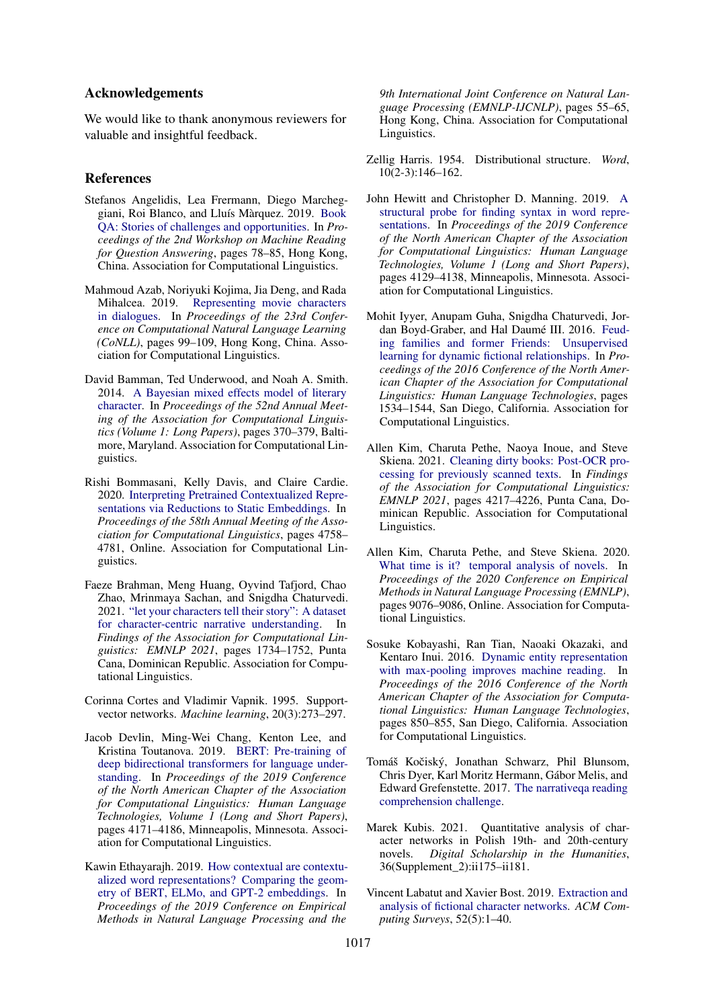### Acknowledgements

We would like to thank anonymous reviewers for valuable and insightful feedback.

#### References

- <span id="page-9-15"></span>Stefanos Angelidis, Lea Frermann, Diego Marcheggiani, Roi Blanco, and Lluís Màrquez. 2019. [Book](https://doi.org/10.18653/v1/D19-5811) [QA: Stories of challenges and opportunities.](https://doi.org/10.18653/v1/D19-5811) In *Proceedings of the 2nd Workshop on Machine Reading for Question Answering*, pages 78–85, Hong Kong, China. Association for Computational Linguistics.
- <span id="page-9-1"></span>Mahmoud Azab, Noriyuki Kojima, Jia Deng, and Rada Mihalcea. 2019. [Representing movie characters](https://doi.org/10.18653/v1/K19-1010) [in dialogues.](https://doi.org/10.18653/v1/K19-1010) In *Proceedings of the 23rd Conference on Computational Natural Language Learning (CoNLL)*, pages 99–109, Hong Kong, China. Association for Computational Linguistics.
- <span id="page-9-13"></span>David Bamman, Ted Underwood, and Noah A. Smith. 2014. [A Bayesian mixed effects model of literary](https://doi.org/10.3115/v1/P14-1035) [character.](https://doi.org/10.3115/v1/P14-1035) In *Proceedings of the 52nd Annual Meeting of the Association for Computational Linguistics (Volume 1: Long Papers)*, pages 370–379, Baltimore, Maryland. Association for Computational Linguistics.
- <span id="page-9-12"></span>Rishi Bommasani, Kelly Davis, and Claire Cardie. 2020. [Interpreting Pretrained Contextualized Repre](https://doi.org/10.18653/v1/2020.acl-main.431)[sentations via Reductions to Static Embeddings.](https://doi.org/10.18653/v1/2020.acl-main.431) In *Proceedings of the 58th Annual Meeting of the Association for Computational Linguistics*, pages 4758– 4781, Online. Association for Computational Linguistics.
- <span id="page-9-4"></span>Faeze Brahman, Meng Huang, Oyvind Tafjord, Chao Zhao, Mrinmaya Sachan, and Snigdha Chaturvedi. 2021. ["let your characters tell their story": A dataset](https://aclanthology.org/2021.findings-emnlp.150) [for character-centric narrative understanding.](https://aclanthology.org/2021.findings-emnlp.150) In *Findings of the Association for Computational Linguistics: EMNLP 2021*, pages 1734–1752, Punta Cana, Dominican Republic. Association for Computational Linguistics.
- <span id="page-9-16"></span>Corinna Cortes and Vladimir Vapnik. 1995. Supportvector networks. *Machine learning*, 20(3):273–297.
- <span id="page-9-5"></span>Jacob Devlin, Ming-Wei Chang, Kenton Lee, and Kristina Toutanova. 2019. [BERT: Pre-training of](https://doi.org/10.18653/v1/N19-1423) [deep bidirectional transformers for language under](https://doi.org/10.18653/v1/N19-1423)[standing.](https://doi.org/10.18653/v1/N19-1423) In *Proceedings of the 2019 Conference of the North American Chapter of the Association for Computational Linguistics: Human Language Technologies, Volume 1 (Long and Short Papers)*, pages 4171–4186, Minneapolis, Minnesota. Association for Computational Linguistics.
- <span id="page-9-11"></span>Kawin Ethayarajh. 2019. [How contextual are contextu](https://doi.org/10.18653/v1/D19-1006)[alized word representations? Comparing the geom](https://doi.org/10.18653/v1/D19-1006)[etry of BERT, ELMo, and GPT-2 embeddings.](https://doi.org/10.18653/v1/D19-1006) In *Proceedings of the 2019 Conference on Empirical Methods in Natural Language Processing and the*

*9th International Joint Conference on Natural Language Processing (EMNLP-IJCNLP)*, pages 55–65, Hong Kong, China. Association for Computational Linguistics.

- <span id="page-9-6"></span>Zellig Harris. 1954. Distributional structure. *Word*, 10(2-3):146–162.
- <span id="page-9-7"></span>John Hewitt and Christopher D. Manning. 2019. [A](https://doi.org/10.18653/v1/N19-1419) [structural probe for finding syntax in word repre](https://doi.org/10.18653/v1/N19-1419)[sentations.](https://doi.org/10.18653/v1/N19-1419) In *Proceedings of the 2019 Conference of the North American Chapter of the Association for Computational Linguistics: Human Language Technologies, Volume 1 (Long and Short Papers)*, pages 4129–4138, Minneapolis, Minnesota. Association for Computational Linguistics.
- <span id="page-9-0"></span>Mohit Iyyer, Anupam Guha, Snigdha Chaturvedi, Jordan Boyd-Graber, and Hal Daumé III. 2016. [Feud](https://doi.org/10.18653/v1/N16-1180)[ing families and former Friends: Unsupervised](https://doi.org/10.18653/v1/N16-1180) [learning for dynamic fictional relationships.](https://doi.org/10.18653/v1/N16-1180) In *Proceedings of the 2016 Conference of the North American Chapter of the Association for Computational Linguistics: Human Language Technologies*, pages 1534–1544, San Diego, California. Association for Computational Linguistics.
- <span id="page-9-9"></span>Allen Kim, Charuta Pethe, Naoya Inoue, and Steve Skiena. 2021. [Cleaning dirty books: Post-OCR pro](https://aclanthology.org/2021.findings-emnlp.356)[cessing for previously scanned texts.](https://aclanthology.org/2021.findings-emnlp.356) In *Findings of the Association for Computational Linguistics: EMNLP 2021*, pages 4217–4226, Punta Cana, Dominican Republic. Association for Computational Linguistics.
- <span id="page-9-8"></span>Allen Kim, Charuta Pethe, and Steve Skiena. 2020. [What time is it? temporal analysis of novels.](https://doi.org/10.18653/v1/2020.emnlp-main.730) In *Proceedings of the 2020 Conference on Empirical Methods in Natural Language Processing (EMNLP)*, pages 9076–9086, Online. Association for Computational Linguistics.
- <span id="page-9-10"></span>Sosuke Kobayashi, Ran Tian, Naoaki Okazaki, and Kentaro Inui. 2016. [Dynamic entity representation](https://doi.org/10.18653/v1/N16-1099) [with max-pooling improves machine reading.](https://doi.org/10.18653/v1/N16-1099) In *Proceedings of the 2016 Conference of the North American Chapter of the Association for Computational Linguistics: Human Language Technologies*, pages 850–855, San Diego, California. Association for Computational Linguistics.
- <span id="page-9-14"></span>Tomáš Kočiský, Jonathan Schwarz, Phil Blunsom, Chris Dyer, Karl Moritz Hermann, Gábor Melis, and Edward Grefenstette. 2017. [The narrativeqa reading](http://arxiv.org/abs/1712.07040) [comprehension challenge.](http://arxiv.org/abs/1712.07040)
- <span id="page-9-3"></span>Marek Kubis. 2021. Quantitative analysis of character networks in Polish 19th- and 20th-century novels. *Digital Scholarship in the Humanities*, 36(Supplement\_2):ii175–ii181.
- <span id="page-9-2"></span>Vincent Labatut and Xavier Bost. 2019. [Extraction and](https://doi.org/10.1145/3344548) [analysis of fictional character networks.](https://doi.org/10.1145/3344548) *ACM Computing Surveys*, 52(5):1–40.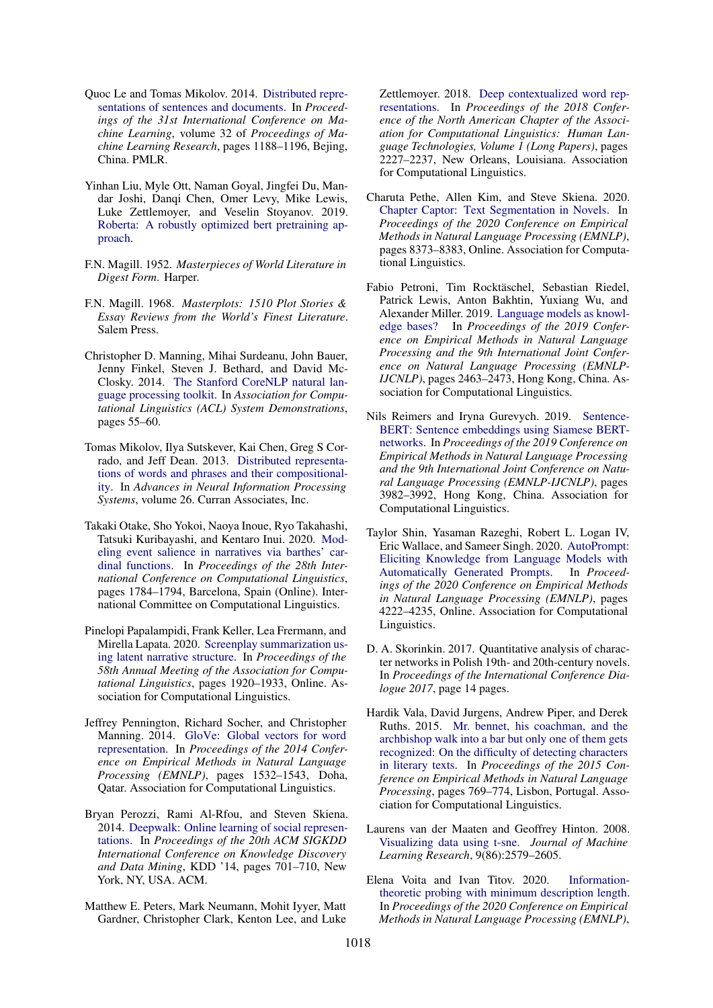- <span id="page-10-11"></span>Quoc Le and Tomas Mikolov. 2014. [Distributed repre](http://proceedings.mlr.press/v32/le14.html)[sentations of sentences and documents.](http://proceedings.mlr.press/v32/le14.html) In *Proceedings of the 31st International Conference on Machine Learning*, volume 32 of *Proceedings of Machine Learning Research*, pages 1188–1196, Bejing, China. PMLR.
- <span id="page-10-12"></span>Yinhan Liu, Myle Ott, Naman Goyal, Jingfei Du, Mandar Joshi, Danqi Chen, Omer Levy, Mike Lewis, Luke Zettlemoyer, and Veselin Stoyanov. 2019. [Roberta: A robustly optimized bert pretraining ap](http://arxiv.org/abs/1907.11692)[proach.](http://arxiv.org/abs/1907.11692)
- <span id="page-10-16"></span>F.N. Magill. 1952. *Masterpieces of World Literature in Digest Form*. Harper.
- <span id="page-10-15"></span>F.N. Magill. 1968. *Masterplots: 1510 Plot Stories & Essay Reviews from the World's Finest Literature*. Salem Press.
- <span id="page-10-10"></span>Christopher D. Manning, Mihai Surdeanu, John Bauer, Jenny Finkel, Steven J. Bethard, and David Mc-Closky. 2014. [The Stanford CoreNLP natural lan](http://www.aclweb.org/anthology/P/P14/P14-5010)[guage processing toolkit.](http://www.aclweb.org/anthology/P/P14/P14-5010) In *Association for Computational Linguistics (ACL) System Demonstrations*, pages 55–60.
- <span id="page-10-1"></span>Tomas Mikolov, Ilya Sutskever, Kai Chen, Greg S Corrado, and Jeff Dean. 2013. [Distributed representa](https://proceedings.neurips.cc/paper/2013/file/9aa42b31882ec039965f3c4923ce901b-Paper.pdf)[tions of words and phrases and their compositional](https://proceedings.neurips.cc/paper/2013/file/9aa42b31882ec039965f3c4923ce901b-Paper.pdf)[ity.](https://proceedings.neurips.cc/paper/2013/file/9aa42b31882ec039965f3c4923ce901b-Paper.pdf) In *Advances in Neural Information Processing Systems*, volume 26. Curran Associates, Inc.
- <span id="page-10-7"></span>Takaki Otake, Sho Yokoi, Naoya Inoue, Ryo Takahashi, Tatsuki Kuribayashi, and Kentaro Inui. 2020. [Mod](https://doi.org/10.18653/v1/2020.coling-main.160)[eling event salience in narratives via barthes' car](https://doi.org/10.18653/v1/2020.coling-main.160)[dinal functions.](https://doi.org/10.18653/v1/2020.coling-main.160) In *Proceedings of the 28th International Conference on Computational Linguistics*, pages 1784–1794, Barcelona, Spain (Online). International Committee on Computational Linguistics.
- <span id="page-10-6"></span>Pinelopi Papalampidi, Frank Keller, Lea Frermann, and Mirella Lapata. 2020. [Screenplay summarization us](https://doi.org/10.18653/v1/2020.acl-main.174)[ing latent narrative structure.](https://doi.org/10.18653/v1/2020.acl-main.174) In *Proceedings of the 58th Annual Meeting of the Association for Computational Linguistics*, pages 1920–1933, Online. Association for Computational Linguistics.
- <span id="page-10-2"></span>Jeffrey Pennington, Richard Socher, and Christopher Manning. 2014. [GloVe: Global vectors for word](https://doi.org/10.3115/v1/D14-1162) [representation.](https://doi.org/10.3115/v1/D14-1162) In *Proceedings of the 2014 Conference on Empirical Methods in Natural Language Processing (EMNLP)*, pages 1532–1543, Doha, Qatar. Association for Computational Linguistics.
- <span id="page-10-13"></span>Bryan Perozzi, Rami Al-Rfou, and Steven Skiena. 2014. [Deepwalk: Online learning of social represen](https://doi.org/10.1145/2623330.2623732)[tations.](https://doi.org/10.1145/2623330.2623732) In *Proceedings of the 20th ACM SIGKDD International Conference on Knowledge Discovery and Data Mining*, KDD '14, pages 701–710, New York, NY, USA. ACM.
- <span id="page-10-3"></span>Matthew E. Peters, Mark Neumann, Mohit Iyyer, Matt Gardner, Christopher Clark, Kenton Lee, and Luke

Zettlemoyer. 2018. [Deep contextualized word rep](https://doi.org/10.18653/v1/N18-1202)[resentations.](https://doi.org/10.18653/v1/N18-1202) In *Proceedings of the 2018 Conference of the North American Chapter of the Association for Computational Linguistics: Human Language Technologies, Volume 1 (Long Papers)*, pages 2227–2237, New Orleans, Louisiana. Association for Computational Linguistics.

- <span id="page-10-5"></span>Charuta Pethe, Allen Kim, and Steve Skiena. 2020. [Chapter Captor: Text Segmentation in Novels.](https://doi.org/10.18653/v1/2020.emnlp-main.672) In *Proceedings of the 2020 Conference on Empirical Methods in Natural Language Processing (EMNLP)*, pages 8373–8383, Online. Association for Computational Linguistics.
- <span id="page-10-8"></span>Fabio Petroni, Tim Rocktäschel, Sebastian Riedel, Patrick Lewis, Anton Bakhtin, Yuxiang Wu, and Alexander Miller. 2019. [Language models as knowl](https://doi.org/10.18653/v1/D19-1250)[edge bases?](https://doi.org/10.18653/v1/D19-1250) In *Proceedings of the 2019 Conference on Empirical Methods in Natural Language Processing and the 9th International Joint Conference on Natural Language Processing (EMNLP-IJCNLP)*, pages 2463–2473, Hong Kong, China. Association for Computational Linguistics.
- <span id="page-10-17"></span>Nils Reimers and Iryna Gurevych. 2019. [Sentence-](https://doi.org/10.18653/v1/D19-1410)[BERT: Sentence embeddings using Siamese BERT](https://doi.org/10.18653/v1/D19-1410)[networks.](https://doi.org/10.18653/v1/D19-1410) In *Proceedings of the 2019 Conference on Empirical Methods in Natural Language Processing and the 9th International Joint Conference on Natural Language Processing (EMNLP-IJCNLP)*, pages 3982–3992, Hong Kong, China. Association for Computational Linguistics.
- <span id="page-10-9"></span>Taylor Shin, Yasaman Razeghi, Robert L. Logan IV, Eric Wallace, and Sameer Singh. 2020. [AutoPrompt:](https://doi.org/10.18653/v1/2020.emnlp-main.346) [Eliciting Knowledge from Language Models with](https://doi.org/10.18653/v1/2020.emnlp-main.346) [Automatically Generated Prompts.](https://doi.org/10.18653/v1/2020.emnlp-main.346) In *Proceedings of the 2020 Conference on Empirical Methods in Natural Language Processing (EMNLP)*, pages 4222–4235, Online. Association for Computational Linguistics.
- <span id="page-10-0"></span>D. A. Skorinkin. 2017. Quantitative analysis of character networks in Polish 19th- and 20th-century novels. In *Proceedings of the International Conference Dialogue 2017*, page 14 pages.
- <span id="page-10-14"></span>Hardik Vala, David Jurgens, Andrew Piper, and Derek Ruths. 2015. [Mr. bennet, his coachman, and the](https://doi.org/10.18653/v1/D15-1088) [archbishop walk into a bar but only one of them gets](https://doi.org/10.18653/v1/D15-1088) [recognized: On the difficulty of detecting characters](https://doi.org/10.18653/v1/D15-1088) [in literary texts.](https://doi.org/10.18653/v1/D15-1088) In *Proceedings of the 2015 Conference on Empirical Methods in Natural Language Processing*, pages 769–774, Lisbon, Portugal. Association for Computational Linguistics.
- <span id="page-10-18"></span>Laurens van der Maaten and Geoffrey Hinton. 2008. [Visualizing data using t-sne.](http://jmlr.org/papers/v9/vandermaaten08a.html) *Journal of Machine Learning Research*, 9(86):2579–2605.
- <span id="page-10-4"></span>Elena Voita and Ivan Titov. 2020. [Information](https://doi.org/10.18653/v1/2020.emnlp-main.14)[theoretic probing with minimum description length.](https://doi.org/10.18653/v1/2020.emnlp-main.14) In *Proceedings of the 2020 Conference on Empirical Methods in Natural Language Processing (EMNLP)*,